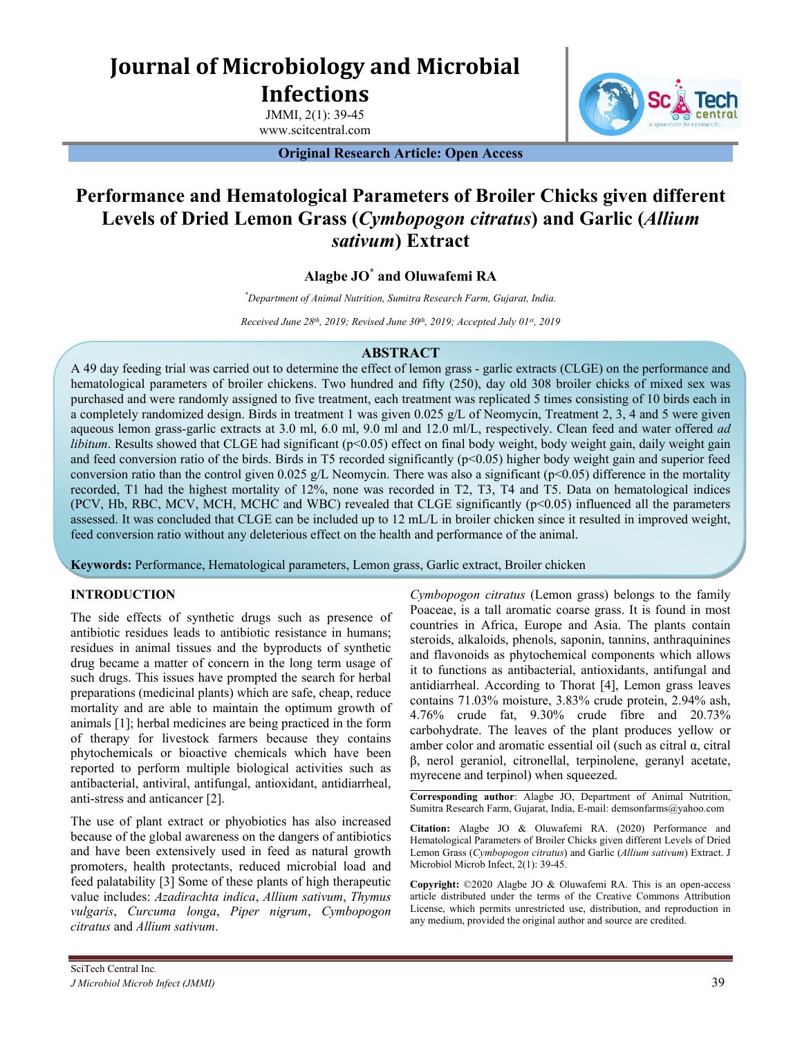# **Journal of Microbiology and Microbial Infections**

JMMI, 2(1): 39-45 www.scitcentral.com

**Original Research Article: Open Access**



## **Performance and Hematological Parameters of Broiler Chicks given different Levels of Dried Lemon Grass (***Cymbopogon citratus***) and Garlic (***Allium sativum***) Extract**

### **Alagbe JO\* and Oluwafemi RA**

*\*Department of Animal Nutrition, Sumitra Research Farm, Gujarat, India.*

*Received June 28th , 2019; Revised June 30th , 2019; Accepted July 01st, 2019*

#### **ABSTRACT**

A 49 day feeding trial was carried out to determine the effect of lemon grass - garlic extracts (CLGE) on the performance and hematological parameters of broiler chickens. Two hundred and fifty (250), day old 308 broiler chicks of mixed sex was purchased and were randomly assigned to five treatment, each treatment was replicated 5 times consisting of 10 birds each in a completely randomized design. Birds in treatment 1 was given 0.025 g/L of Neomycin, Treatment 2, 3, 4 and 5 were given aqueous lemon grass-garlic extracts at 3.0 ml, 6.0 ml, 9.0 ml and 12.0 ml/L, respectively. Clean feed and water offered *ad libitum*. Results showed that CLGE had significant (p<0.05) effect on final body weight, body weight gain, daily weight gain and feed conversion ratio of the birds. Birds in T5 recorded significantly  $(p<0.05)$  higher body weight gain and superior feed conversion ratio than the control given 0.025 g/L Neomycin. There was also a significant ( $p<0.05$ ) difference in the mortality recorded, T1 had the highest mortality of 12%, none was recorded in T2, T3, T4 and T5. Data on hematological indices (PCV, Hb, RBC, MCV, MCH, MCHC and WBC) revealed that CLGE significantly (p<0.05) influenced all the parameters assessed. It was concluded that CLGE can be included up to 12 mL/L in broiler chicken since it resulted in improved weight, feed conversion ratio without any deleterious effect on the health and performance of the animal.

**Keywords:** Performance, Hematological parameters, Lemon grass, Garlic extract, Broiler chicken

#### **INTRODUCTION**

The side effects of synthetic drugs such as presence of antibiotic residues leads to antibiotic resistance in humans; residues in animal tissues and the byproducts of synthetic drug became a matter of concern in the long term usage of such drugs. This issues have prompted the search for herbal preparations (medicinal plants) which are safe, cheap, reduce mortality and are able to maintain the optimum growth of animals [1]; herbal medicines are being practiced in the form of therapy for livestock farmers because they contains phytochemicals or bioactive chemicals which have been reported to perform multiple biological activities such as antibacterial, antiviral, antifungal, antioxidant, antidiarrheal, anti-stress and anticancer [2].

The use of plant extract or phyobiotics has also increased because of the global awareness on the dangers of antibiotics and have been extensively used in feed as natural growth promoters, health protectants, reduced microbial load and feed palatability [3] Some of these plants of high therapeutic value includes: *Azadirachta indica*, *Allium sativum*, *Thymus vulgaris*, *Curcuma longa*, *Piper nigrum*, *Cymbopogon citratus* and *Allium sativum*.

*Cymbopogon citratus* (Lemon grass) belongs to the family Poaceae, is a tall aromatic coarse grass. It is found in most countries in Africa, Europe and Asia. The plants contain steroids, alkaloids, phenols, saponin, tannins, anthraquinines and flavonoids as phytochemical components which allows it to functions as antibacterial, antioxidants, antifungal and antidiarrheal. According to Thorat [4], Lemon grass leaves contains 71.03% moisture, 3.83% crude protein, 2.94% ash, 4.76% crude fat, 9.30% crude fibre and 20.73% carbohydrate. The leaves of the plant produces yellow or amber color and aromatic essential oil (such as citral α, citral β, nerol geraniol, citronellal, terpinolene, geranyl acetate, myrecene and terpinol) when squeezed.

**Corresponding author**: Alagbe JO, Department of Animal Nutrition, Sumitra Research Farm, Gujarat, India, E-mail: demsonfarms@yahoo.com

**Citation:** Alagbe JO & Oluwafemi RA. (2020) Performance and Hematological Parameters of Broiler Chicks given different Levels of Dried Lemon Grass (*Cymbopogon citratus*) and Garlic (*Allium sativum*) Extract. J Microbiol Microb Infect, 2(1): 39-45.

**Copyright:** ©2020 Alagbe JO & Oluwafemi RA. This is an open-access article distributed under the terms of the Creative Commons Attribution License, which permits unrestricted use, distribution, and reproduction in any medium, provided the original author and source are credited.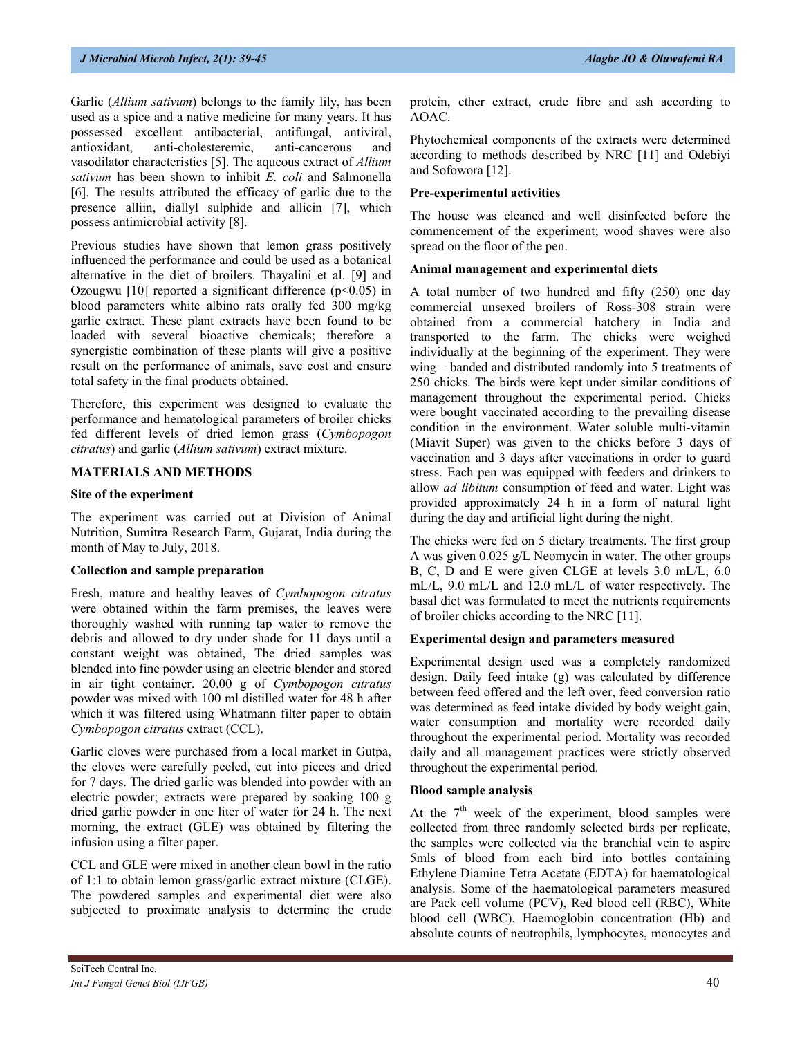Garlic (*Allium sativum*) belongs to the family lily, has been used as a spice and a native medicine for many years. It has possessed excellent antibacterial, antifungal, antiviral, antioxidant, anti-cholesteremic, anti-cancerous and vasodilator characteristics [5]. The aqueous extract of *Allium sativum* has been shown to inhibit *E. coli* and Salmonella [6]. The results attributed the efficacy of garlic due to the presence alliin, diallyl sulphide and allicin [7], which possess antimicrobial activity [8].

Previous studies have shown that lemon grass positively influenced the performance and could be used as a botanical alternative in the diet of broilers. Thayalini et al. [9] and Ozougwu [10] reported a significant difference  $(p<0.05)$  in blood parameters white albino rats orally fed 300 mg/kg garlic extract. These plant extracts have been found to be loaded with several bioactive chemicals; therefore a synergistic combination of these plants will give a positive result on the performance of animals, save cost and ensure total safety in the final products obtained.

Therefore, this experiment was designed to evaluate the performance and hematological parameters of broiler chicks fed different levels of dried lemon grass (*Cymbopogon citratus*) and garlic (*Allium sativum*) extract mixture.

#### **MATERIALS AND METHODS**

#### **Site of the experiment**

The experiment was carried out at Division of Animal Nutrition, Sumitra Research Farm, Gujarat, India during the month of May to July, 2018.

#### **Collection and sample preparation**

Fresh, mature and healthy leaves of *Cymbopogon citratus* were obtained within the farm premises, the leaves were thoroughly washed with running tap water to remove the debris and allowed to dry under shade for 11 days until a constant weight was obtained, The dried samples was blended into fine powder using an electric blender and stored in air tight container. 20.00 g of *Cymbopogon citratus* powder was mixed with 100 ml distilled water for 48 h after which it was filtered using Whatmann filter paper to obtain *Cymbopogon citratus* extract (CCL).

Garlic cloves were purchased from a local market in Gutpa, the cloves were carefully peeled, cut into pieces and dried for 7 days. The dried garlic was blended into powder with an electric powder; extracts were prepared by soaking 100 g dried garlic powder in one liter of water for 24 h. The next morning, the extract (GLE) was obtained by filtering the infusion using a filter paper.

CCL and GLE were mixed in another clean bowl in the ratio of 1:1 to obtain lemon grass/garlic extract mixture (CLGE). The powdered samples and experimental diet were also subjected to proximate analysis to determine the crude

protein, ether extract, crude fibre and ash according to AOAC.

Phytochemical components of the extracts were determined according to methods described by NRC [11] and Odebiyi and Sofowora [12].

#### **Pre-experimental activities**

The house was cleaned and well disinfected before the commencement of the experiment; wood shaves were also spread on the floor of the pen.

#### **Animal management and experimental diets**

A total number of two hundred and fifty (250) one day commercial unsexed broilers of Ross-308 strain were obtained from a commercial hatchery in India and transported to the farm. The chicks were weighed individually at the beginning of the experiment. They were wing – banded and distributed randomly into 5 treatments of 250 chicks. The birds were kept under similar conditions of management throughout the experimental period. Chicks were bought vaccinated according to the prevailing disease condition in the environment. Water soluble multi-vitamin (Miavit Super) was given to the chicks before 3 days of vaccination and 3 days after vaccinations in order to guard stress. Each pen was equipped with feeders and drinkers to allow *ad libitum* consumption of feed and water. Light was provided approximately 24 h in a form of natural light during the day and artificial light during the night.

The chicks were fed on 5 dietary treatments. The first group A was given 0.025 g/L Neomycin in water. The other groups B, C, D and E were given CLGE at levels 3.0 mL/L, 6.0 mL/L, 9.0 mL/L and 12.0 mL/L of water respectively. The basal diet was formulated to meet the nutrients requirements of broiler chicks according to the NRC [11].

#### **Experimental design and parameters measured**

Experimental design used was a completely randomized design. Daily feed intake (g) was calculated by difference between feed offered and the left over, feed conversion ratio was determined as feed intake divided by body weight gain, water consumption and mortality were recorded daily throughout the experimental period. Mortality was recorded daily and all management practices were strictly observed throughout the experimental period.

#### **Blood sample analysis**

At the  $7<sup>th</sup>$  week of the experiment, blood samples were collected from three randomly selected birds per replicate, the samples were collected via the branchial vein to aspire 5mls of blood from each bird into bottles containing Ethylene Diamine Tetra Acetate (EDTA) for haematological analysis. Some of the haematological parameters measured are Pack cell volume (PCV), Red blood cell (RBC), White blood cell (WBC), Haemoglobin concentration (Hb) and absolute counts of neutrophils, lymphocytes, monocytes and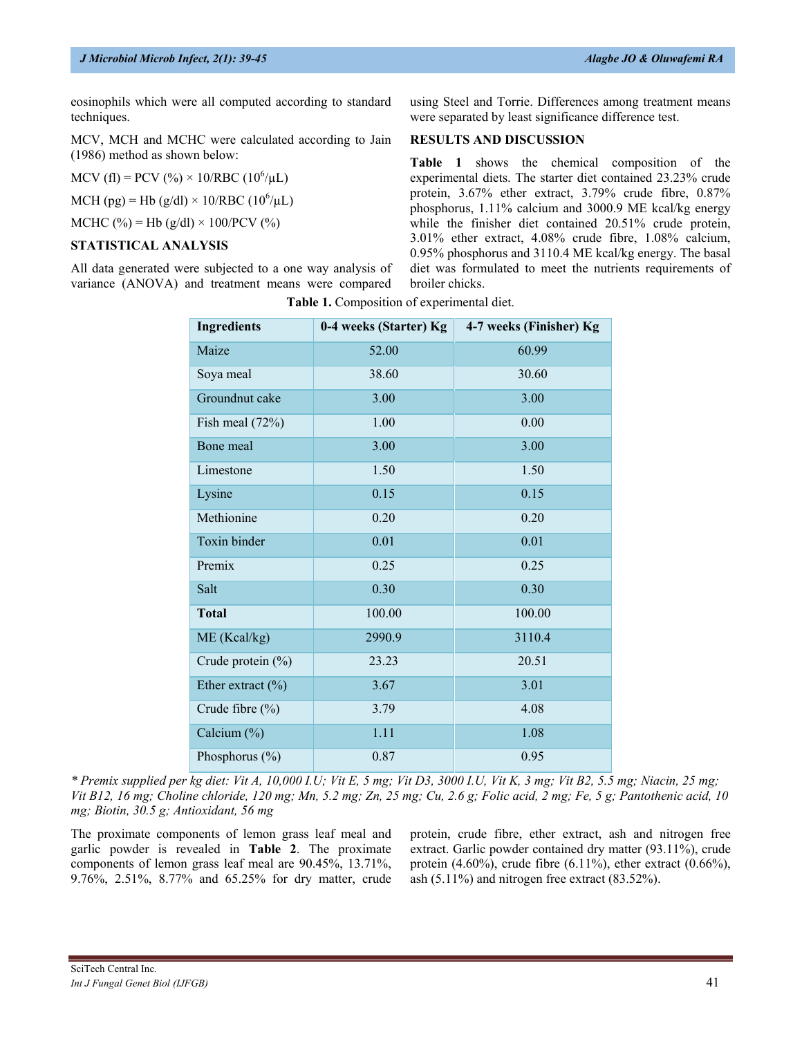eosinophils which were all computed according to standard techniques.

MCV, MCH and MCHC were calculated according to Jain (1986) method as shown below:

MCV (fl) = PCV (%) × 10/RBC (10<sup>6</sup>/µL)

MCH (pg) = Hb (g/dl) × 10/RBC (10<sup>6</sup>/µL)

MCHC (%) = Hb (g/dl) × 100/PCV (%)

#### **STATISTICAL ANALYSIS**

All data generated were subjected to a one way analysis of variance (ANOVA) and treatment means were compared using Steel and Torrie. Differences among treatment means were separated by least significance difference test.

#### **RESULTS AND DISCUSSION**

**Table 1** shows the chemical composition of the experimental diets. The starter diet contained 23.23% crude protein, 3.67% ether extract, 3.79% crude fibre, 0.87% phosphorus, 1.11% calcium and 3000.9 ME kcal/kg energy while the finisher diet contained 20.51% crude protein, 3.01% ether extract, 4.08% crude fibre, 1.08% calcium, 0.95% phosphorus and 3110.4 ME kcal/kg energy. The basal diet was formulated to meet the nutrients requirements of broiler chicks.

| <b>Ingredients</b>    | 0-4 weeks (Starter) Kg | 4-7 weeks (Finisher) Kg |  |  |  |
|-----------------------|------------------------|-------------------------|--|--|--|
| Maize                 | 52.00                  | 60.99                   |  |  |  |
| Soya meal             | 38.60                  | 30.60                   |  |  |  |
| Groundnut cake        | 3.00                   | 3.00                    |  |  |  |
| Fish meal $(72%)$     | 1.00                   | 0.00                    |  |  |  |
| Bone meal             | 3.00                   | 3.00                    |  |  |  |
| Limestone             | 1.50                   | 1.50                    |  |  |  |
| Lysine                | 0.15                   | 0.15                    |  |  |  |
| Methionine            | 0.20                   | 0.20                    |  |  |  |
| Toxin binder          | 0.01                   | 0.01                    |  |  |  |
| Premix                | 0.25                   | 0.25                    |  |  |  |
| Salt                  | 0.30                   | 0.30                    |  |  |  |
| <b>Total</b>          | 100.00                 | 100.00                  |  |  |  |
| ME (Kcal/kg)          | 2990.9                 | 3110.4                  |  |  |  |
| Crude protein (%)     | 23.23                  | 20.51                   |  |  |  |
| Ether extract $(\% )$ | 3.67                   | 3.01                    |  |  |  |
| Crude fibre (%)       | 3.79                   | 4.08                    |  |  |  |
| Calcium (%)           | 1.11                   | 1.08                    |  |  |  |
| Phosphorus $(\% )$    | 0.87                   | 0.95                    |  |  |  |

**Table 1.** Composition of experimental diet.

*\* Premix supplied per kg diet: Vit A, 10,000 I.U; Vit E, 5 mg; Vit D3, 3000 I.U, Vit K, 3 mg; Vit B2, 5.5 mg; Niacin, 25 mg; Vit B12, 16 mg; Choline chloride, 120 mg; Mn, 5.2 mg; Zn, 25 mg; Cu, 2.6 g; Folic acid, 2 mg; Fe, 5 g; Pantothenic acid, 10 mg; Biotin, 30.5 g; Antioxidant, 56 mg*

The proximate components of lemon grass leaf meal and garlic powder is revealed in **Table 2**. The proximate components of lemon grass leaf meal are 90.45%, 13.71%, 9.76%, 2.51%, 8.77% and 65.25% for dry matter, crude protein, crude fibre, ether extract, ash and nitrogen free extract. Garlic powder contained dry matter (93.11%), crude protein  $(4.60\%)$ , crude fibre  $(6.11\%)$ , ether extract  $(0.66\%)$ , ash (5.11%) and nitrogen free extract (83.52%).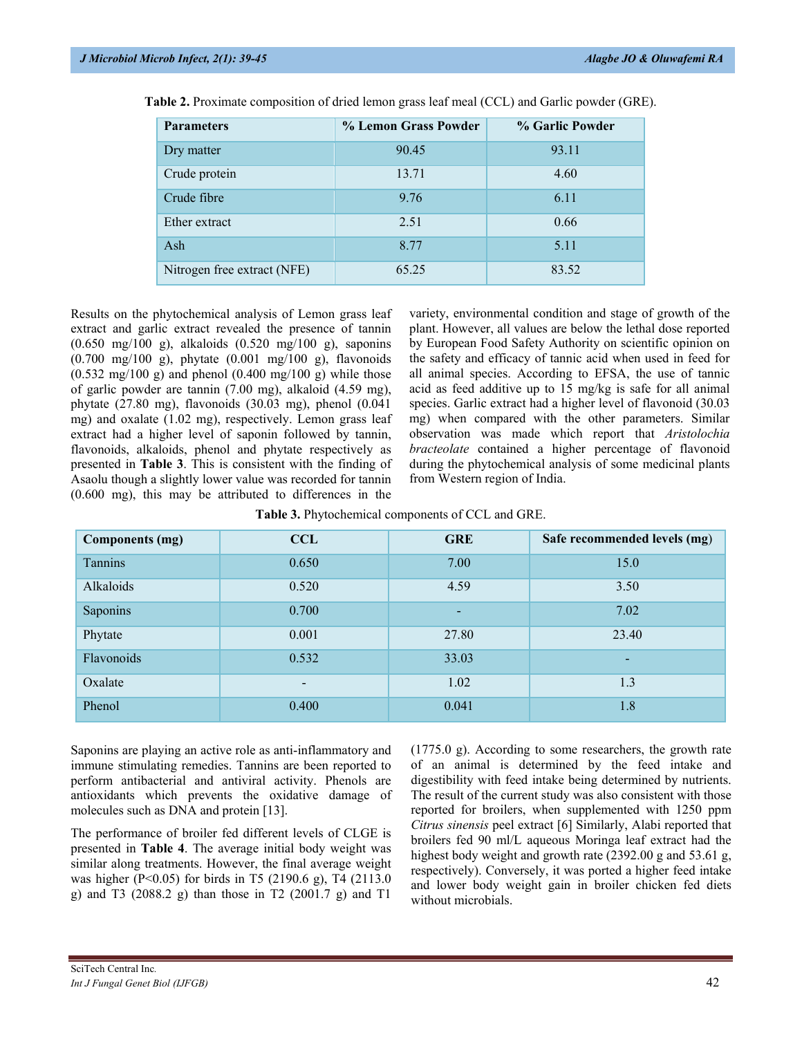| <b>Parameters</b>           | % Lemon Grass Powder | % Garlic Powder |
|-----------------------------|----------------------|-----------------|
| Dry matter                  | 90.45                | 93.11           |
| Crude protein               | 13.71                | 4.60            |
| Crude fibre                 | 9.76                 | 6.11            |
| Ether extract               | 2.51                 | 0.66            |
| Ash                         | 8.77                 | 5.11            |
| Nitrogen free extract (NFE) | 65.25                | 83.52           |

**Table 2.** Proximate composition of dried lemon grass leaf meal (CCL) and Garlic powder (GRE).

Results on the phytochemical analysis of Lemon grass leaf extract and garlic extract revealed the presence of tannin (0.650 mg/100 g), alkaloids (0.520 mg/100 g), saponins (0.700 mg/100 g), phytate (0.001 mg/100 g), flavonoids  $(0.532 \text{ mg}/100 \text{ g})$  and phenol  $(0.400 \text{ mg}/100 \text{ g})$  while those of garlic powder are tannin (7.00 mg), alkaloid (4.59 mg), phytate (27.80 mg), flavonoids (30.03 mg), phenol (0.041 mg) and oxalate (1.02 mg), respectively. Lemon grass leaf extract had a higher level of saponin followed by tannin, flavonoids, alkaloids, phenol and phytate respectively as presented in **Table 3**. This is consistent with the finding of Asaolu though a slightly lower value was recorded for tannin (0.600 mg), this may be attributed to differences in the

variety, environmental condition and stage of growth of the plant. However, all values are below the lethal dose reported by European Food Safety Authority on scientific opinion on the safety and efficacy of tannic acid when used in feed for all animal species. According to EFSA, the use of tannic acid as feed additive up to 15 mg/kg is safe for all animal species. Garlic extract had a higher level of flavonoid (30.03 mg) when compared with the other parameters. Similar observation was made which report that *Aristolochia bracteolate* contained a higher percentage of flavonoid during the phytochemical analysis of some medicinal plants from Western region of India.

| Table 3. Phytochemical components of CCL and GRE. |  |  |  |
|---------------------------------------------------|--|--|--|
|---------------------------------------------------|--|--|--|

| <b>Components (mg)</b> | <b>CCL</b> | <b>GRE</b> | Safe recommended levels (mg) |
|------------------------|------------|------------|------------------------------|
| Tannins                | 0.650      | 7.00       | 15.0                         |
| Alkaloids              | 0.520      | 4.59       | 3.50                         |
| Saponins               | 0.700      | ۰.         | 7.02                         |
| Phytate                | 0.001      | 27.80      | 23.40                        |
| Flavonoids             | 0.532      | 33.03      | -                            |
| Oxalate                | -          | 1.02       | 1.3                          |
| Phenol                 | 0.400      | 0.041      | 1.8                          |

Saponins are playing an active role as anti-inflammatory and immune stimulating remedies. Tannins are been reported to perform antibacterial and antiviral activity. Phenols are antioxidants which prevents the oxidative damage of molecules such as DNA and protein [13].

The performance of broiler fed different levels of CLGE is presented in **Table 4**. The average initial body weight was similar along treatments. However, the final average weight was higher (P<0.05) for birds in T5 (2190.6 g), T4 (2113.0 g) and T3 (2088.2 g) than those in T2 (2001.7 g) and T1

(1775.0 g). According to some researchers, the growth rate of an animal is determined by the feed intake and digestibility with feed intake being determined by nutrients. The result of the current study was also consistent with those reported for broilers, when supplemented with 1250 ppm *Citrus sinensis* peel extract [6] Similarly, Alabi reported that broilers fed 90 ml/L aqueous Moringa leaf extract had the highest body weight and growth rate (2392.00 g and 53.61 g, respectively). Conversely, it was ported a higher feed intake and lower body weight gain in broiler chicken fed diets without microbials.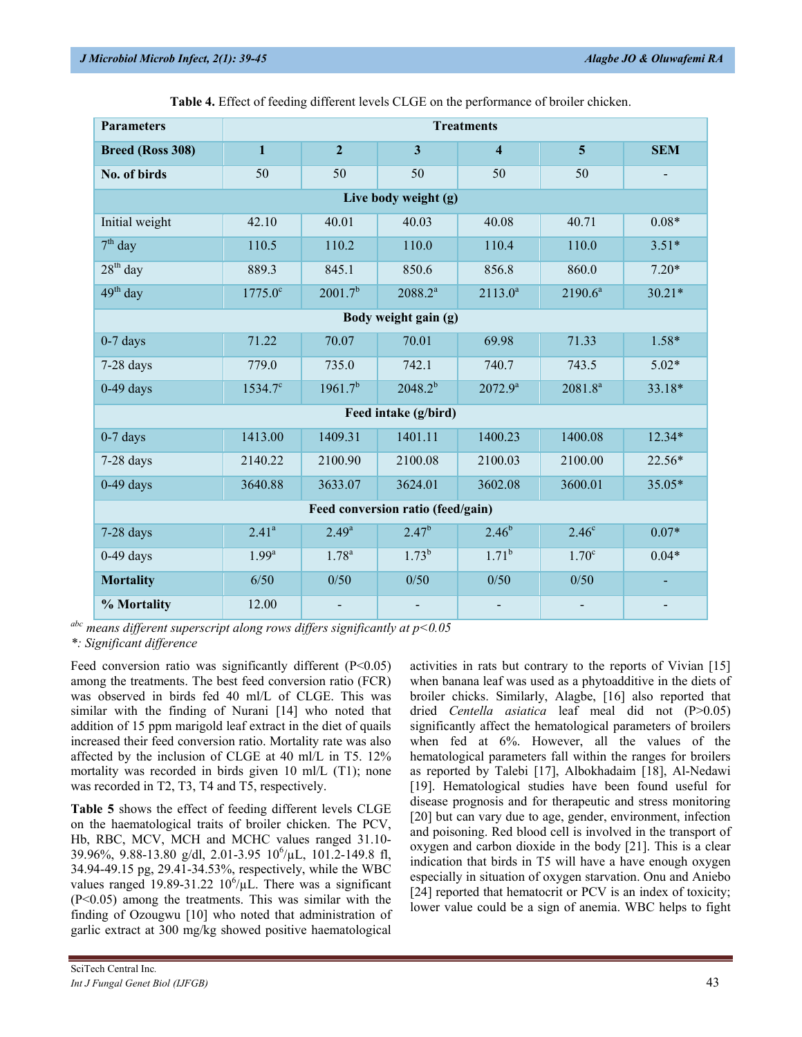| <b>Parameters</b>                 | <b>Treatments</b> |                     |                         |                         |                   |            |
|-----------------------------------|-------------------|---------------------|-------------------------|-------------------------|-------------------|------------|
| <b>Breed (Ross 308)</b>           | $\mathbf{1}$      | $\overline{2}$      | $\overline{\mathbf{3}}$ | $\overline{\mathbf{4}}$ | $\overline{5}$    | <b>SEM</b> |
| No. of birds                      | 50                | 50                  | 50                      | 50                      | 50                |            |
|                                   |                   |                     | Live body weight (g)    |                         |                   |            |
| Initial weight                    | 42.10             | 40.01               | 40.03                   | 40.08                   | 40.71             | $0.08*$    |
| $7th$ day                         | 110.5             | 110.2               | 110.0                   | 110.4                   | 110.0             | $3.51*$    |
| $28th$ day                        | 889.3             | 845.1               | 850.6                   | 856.8                   | 860.0             | $7.20*$    |
| $49th$ day                        | $1775.0^{\circ}$  | 2001.7 <sup>b</sup> | $2088.2^{a}$            | $2113.0^a$              | $2190.6^a$        | $30.21*$   |
|                                   |                   |                     | Body weight gain (g)    |                         |                   |            |
| $0-7$ days                        | 71.22             | 70.07               | 70.01                   | 69.98                   | 71.33             | $1.58*$    |
| $7-28$ days                       | 779.0             | 735.0               | 742.1                   | 740.7                   | 743.5             | $5.02*$    |
| $0-49$ days                       | $1534.7^{\circ}$  | $1961.7^{b}$        | $2048.2^{b}$            | $2072.9^a$              | $2081.8^a$        | 33.18*     |
|                                   |                   |                     | Feed intake (g/bird)    |                         |                   |            |
| $0-7$ days                        | 1413.00           | 1409.31             | 1401.11                 | 1400.23                 | 1400.08           | $12.34*$   |
| $7-28$ days                       | 2140.22           | 2100.90             | 2100.08                 | 2100.03                 | 2100.00           | 22.56*     |
| $0-49$ days                       | 3640.88           | 3633.07             | 3624.01                 | 3602.08                 | 3600.01           | 35.05*     |
| Feed conversion ratio (feed/gain) |                   |                     |                         |                         |                   |            |
| $7-28$ days                       | 2.41 <sup>a</sup> | $2.49^{a}$          | $2.47^{b}$              | $2.46^{b}$              | 2.46 <sup>c</sup> | $0.07*$    |
| $0-49$ days                       | $1.99^{a}$        | $1.78^{a}$          | $1.73^{b}$              | $1.71^{b}$              | 1.70 <sup>c</sup> | $0.04*$    |
| <b>Mortality</b>                  | 6/50              | 0/50                | 0/50                    | 0/50                    | 0/50              |            |
| % Mortality                       | 12.00             |                     |                         |                         |                   |            |

**Table 4.** Effect of feeding different levels CLGE on the performance of broiler chicken.

*abc means different superscript along rows differs significantly at p<0.05*

*\*: Significant difference*

Feed conversion ratio was significantly different  $(P<0.05)$ among the treatments. The best feed conversion ratio (FCR) was observed in birds fed 40 ml/L of CLGE. This was similar with the finding of Nurani [14] who noted that addition of 15 ppm marigold leaf extract in the diet of quails increased their feed conversion ratio. Mortality rate was also affected by the inclusion of CLGE at 40 ml/L in T5. 12% mortality was recorded in birds given 10 ml/L (T1); none was recorded in T2, T3, T4 and T5, respectively.

**Table 5** shows the effect of feeding different levels CLGE on the haematological traits of broiler chicken. The PCV, Hb, RBC, MCV, MCH and MCHC values ranged 31.10- 39.96%, 9.88-13.80 g/dl, 2.01-3.95 10<sup>6</sup> /µL, 101.2-149.8 fl, 34.94-49.15 pg, 29.41-34.53%, respectively, while the WBC values ranged  $19.89 - 31.22$   $10^6/\mu L$ . There was a significant (P<0.05) among the treatments. This was similar with the finding of Ozougwu [10] who noted that administration of garlic extract at 300 mg/kg showed positive haematological

activities in rats but contrary to the reports of Vivian [15] when banana leaf was used as a phytoadditive in the diets of broiler chicks. Similarly, Alagbe, [16] also reported that dried *Centella asiatica* leaf meal did not (P>0.05) significantly affect the hematological parameters of broilers when fed at 6%. However, all the values of the hematological parameters fall within the ranges for broilers as reported by Talebi [17], Albokhadaim [18], Al-Nedawi [19]. Hematological studies have been found useful for disease prognosis and for therapeutic and stress monitoring [20] but can vary due to age, gender, environment, infection and poisoning. Red blood cell is involved in the transport of oxygen and carbon dioxide in the body [21]. This is a clear indication that birds in T5 will have a have enough oxygen especially in situation of oxygen starvation. Onu and Aniebo [24] reported that hematocrit or PCV is an index of toxicity; lower value could be a sign of anemia. WBC helps to fight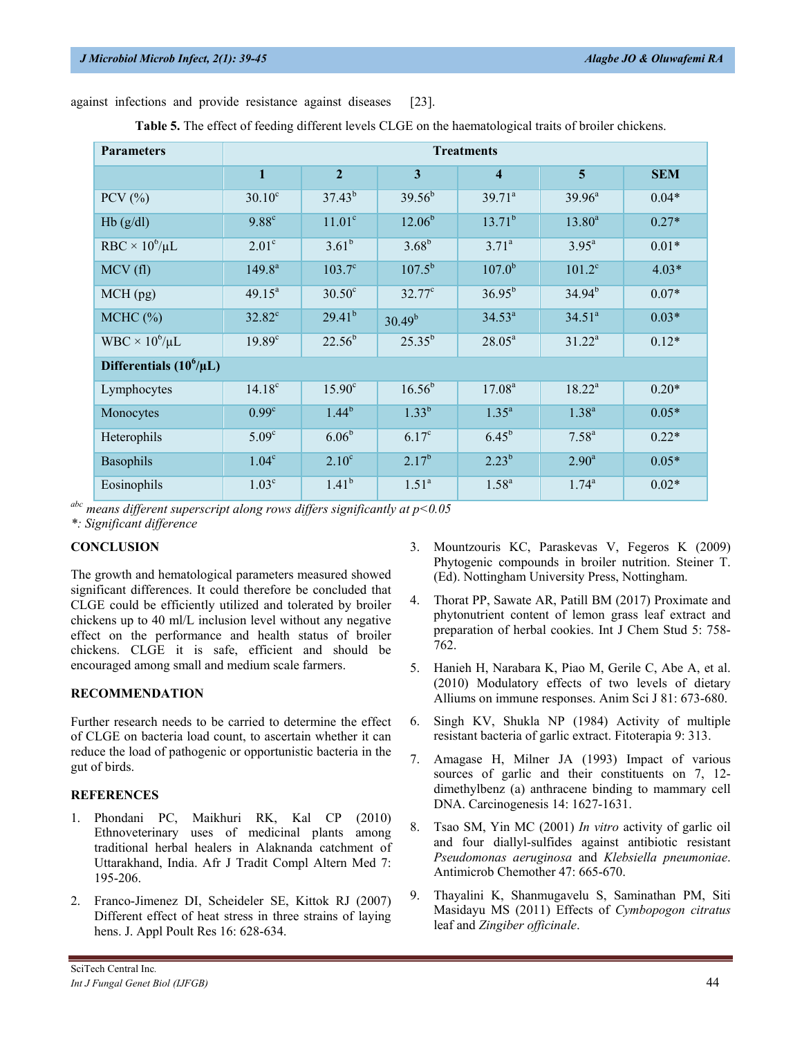against infections and provide resistance against diseases [23].

|  |  |  |  |  | Table 5. The effect of feeding different levels CLGE on the haematological traits of broiler chickens. |
|--|--|--|--|--|--------------------------------------------------------------------------------------------------------|
|--|--|--|--|--|--------------------------------------------------------------------------------------------------------|

| <b>Parameters</b>            | <b>Treatments</b>  |                    |                    |                         |                         |            |
|------------------------------|--------------------|--------------------|--------------------|-------------------------|-------------------------|------------|
|                              | $\mathbf{1}$       | $\overline{2}$     | $\mathbf{3}$       | $\overline{\mathbf{4}}$ | $\overline{\mathbf{5}}$ | <b>SEM</b> |
| $PCV$ $(\%)$                 | $30.10^{\circ}$    | $37.43^{b}$        | $39.56^{b}$        | $39.71^a$               | $39.96^a$               | $0.04*$    |
| Hb(g/dl)                     | $9.88^{\circ}$     | 11.01 <sup>c</sup> | $12.06^b$          | $13.71^{b}$             | $13.80^a$               | $0.27*$    |
| RBC $\times 10^6/\mu L$      | 2.01 <sup>c</sup>  | $3.61^{b}$         | $3.68^{b}$         | $3.71^a$                | $3.95^{\rm a}$          | $0.01*$    |
| MCV(f)                       | $149.8^{a}$        | $103.7^{\circ}$    | $107.5^{b}$        | $107.0^{b}$             | $101.2^{\circ}$         | $4.03*$    |
| $MCH$ (pg)                   | $49.15^a$          | $30.50^{\circ}$    | $32.77^{\circ}$    | $36.95^{b}$             | $34.94^{b}$             | $0.07*$    |
| MCHC (%)                     | $32.82^{\circ}$    | $29.41^{b}$        | 30.49 <sup>b</sup> | $34.53^a$               | 34.51 <sup>a</sup>      | $0.03*$    |
| $WBC \times 10^6/\mu L$      | 19.89 <sup>c</sup> | $22.56^{b}$        | $25.35^{b}$        | $28.05^a$               | $31.22^a$               | $0.12*$    |
| Differentials $(10^6/\mu L)$ |                    |                    |                    |                         |                         |            |
| Lymphocytes                  | $14.18^{\circ}$    | $15.90^\circ$      | $16.56^{b}$        | 17.08 <sup>a</sup>      | $18.22^a$               | $0.20*$    |
| Monocytes                    | 0.99 <sup>c</sup>  | $1.44^{b}$         | $1.33^{b}$         | $1.35^{\circ}$          | $1.38^{a}$              | $0.05*$    |
| Heterophils                  | 5.09 <sup>c</sup>  | $6.06^{b}$         | 6.17 <sup>c</sup>  | $6.45^{b}$              | $7.58^{a}$              | $0.22*$    |
| Basophils                    | 1.04 <sup>c</sup>  | $2.10^{\circ}$     | $2.17^{b}$         | $2.23^{b}$              | 2.90 <sup>a</sup>       | $0.05*$    |
| Eosinophils                  | 1.03 <sup>c</sup>  | $1.41^{b}$         | 1.51 <sup>a</sup>  | $1.58^{a}$              | $1.74^{\circ}$          | $0.02*$    |

*abc means different superscript along rows differs significantly at p<0.05*

*\*: Significant difference*

#### **CONCLUSION**

The growth and hematological parameters measured showed significant differences. It could therefore be concluded that CLGE could be efficiently utilized and tolerated by broiler chickens up to 40 ml/L inclusion level without any negative effect on the performance and health status of broiler chickens. CLGE it is safe, efficient and should be encouraged among small and medium scale farmers.

#### **RECOMMENDATION**

Further research needs to be carried to determine the effect of CLGE on bacteria load count, to ascertain whether it can reduce the load of pathogenic or opportunistic bacteria in the gut of birds.

#### **REFERENCES**

- 1. Phondani PC, Maikhuri RK, Kal CP (2010) Ethnoveterinary uses of medicinal plants among traditional herbal healers in Alaknanda catchment of Uttarakhand, India. Afr J Tradit Compl Altern Med 7: 195-206.
- 2. Franco-Jimenez DI, Scheideler SE, Kittok RJ (2007) Different effect of heat stress in three strains of laying hens. J. Appl Poult Res 16: 628-634.
- 3. Mountzouris KC, Paraskevas V, Fegeros K (2009) Phytogenic compounds in broiler nutrition. Steiner T. (Ed). Nottingham University Press, Nottingham.
- 4. Thorat PP, Sawate AR, Patill BM (2017) Proximate and phytonutrient content of lemon grass leaf extract and preparation of herbal cookies. Int J Chem Stud 5: 758- 762.
- 5. Hanieh H, Narabara K, Piao M, Gerile C, Abe A, et al. (2010) Modulatory effects of two levels of dietary Alliums on immune responses. Anim Sci J 81: 673-680.
- 6. Singh KV, Shukla NP (1984) Activity of multiple resistant bacteria of garlic extract. Fitoterapia 9: 313.
- 7. Amagase H, Milner JA (1993) Impact of various sources of garlic and their constituents on 7, 12dimethylbenz (a) anthracene binding to mammary cell DNA. Carcinogenesis 14: 1627-1631.
- 8. Tsao SM, Yin MC (2001) *In vitro* activity of garlic oil and four diallyl-sulfides against antibiotic resistant *Pseudomonas aeruginosa* and *Klebsiella pneumoniae*. Antimicrob Chemother 47: 665-670.
- 9. Thayalini K, Shanmugavelu S, Saminathan PM, Siti Masidayu MS (2011) Effects of *Cymbopogon citratus* leaf and *Zingiber officinale*.